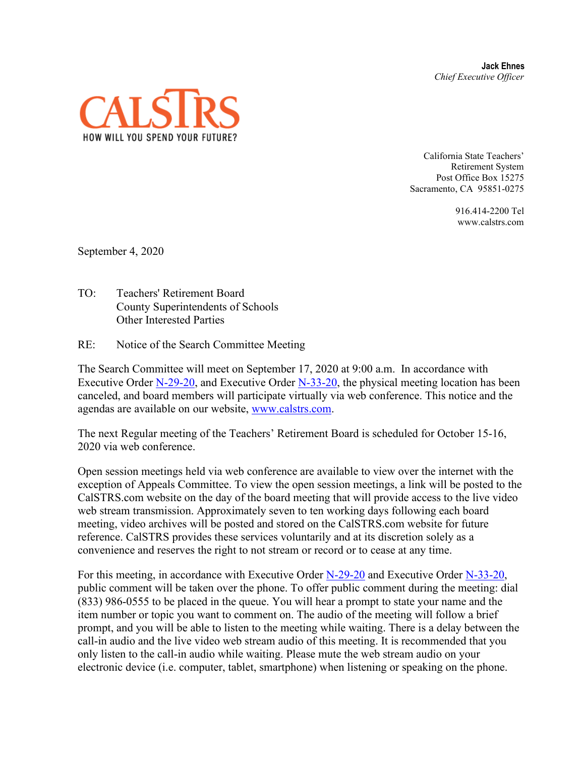**Jack Ehnes** *Chief Executive Officer*



California State Teachers' Retirement System Post Office Box 15275 Sacramento, CA 95851-0275

> 916.414-2200 Tel www.calstrs.com

September 4, 2020

- TO: Teachers' Retirement Board County Superintendents of Schools Other Interested Parties
- RE: Notice of the Search Committee Meeting

The Search Committee will meet on September 17, 2020 at 9:00 a.m. In accordance with Executive Order [N-29-20,](https://www.gov.ca.gov/wp-content/uploads/2020/03/3.17.20-N-29-20-EO.pdf) and Executive Order [N-33-20,](https://covid19.ca.gov/img/Executive-Order-N-33-20.pdf) the physical meeting location has been canceled, and board members will participate virtually via web conference. This notice and the agendas are available on our website, [www.calstrs.com.](http://www.calstrs.com/)

The next Regular meeting of the Teachers' Retirement Board is scheduled for October 15-16, 2020 via web conference.

Open session meetings held via web conference are available to view over the internet with the exception of Appeals Committee. To view the open session meetings, a link will be posted to the CalSTRS.com website on the day of the board meeting that will provide access to the live video web stream transmission. Approximately seven to ten working days following each board meeting, video archives will be posted and stored on the CalSTRS.com website for future reference. CalSTRS provides these services voluntarily and at its discretion solely as a convenience and reserves the right to not stream or record or to cease at any time.

For this meeting, in accordance with Executive Order [N-29-20](https://www.gov.ca.gov/wp-content/uploads/2020/03/3.17.20-N-29-20-EO.pdf) and Executive Order [N-33-20,](https://covid19.ca.gov/img/Executive-Order-N-33-20.pdf) public comment will be taken over the phone. To offer public comment during the meeting: dial (833) 986-0555 to be placed in the queue. You will hear a prompt to state your name and the item number or topic you want to comment on. The audio of the meeting will follow a brief prompt, and you will be able to listen to the meeting while waiting. There is a delay between the call-in audio and the live video web stream audio of this meeting. It is recommended that you only listen to the call-in audio while waiting. Please mute the web stream audio on your electronic device (i.e. computer, tablet, smartphone) when listening or speaking on the phone.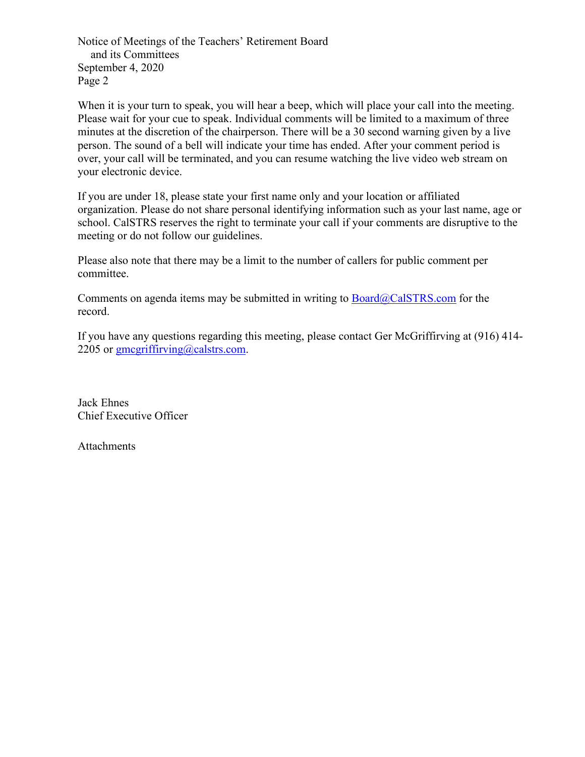Notice of Meetings of the Teachers' Retirement Board and its Committees September 4, 2020 Page 2

When it is your turn to speak, you will hear a beep, which will place your call into the meeting. Please wait for your cue to speak. Individual comments will be limited to a maximum of three minutes at the discretion of the chairperson. There will be a 30 second warning given by a live person. The sound of a bell will indicate your time has ended. After your comment period is over, your call will be terminated, and you can resume watching the live video web stream on your electronic device.

If you are under 18, please state your first name only and your location or affiliated organization. Please do not share personal identifying information such as your last name, age or school. CalSTRS reserves the right to terminate your call if your comments are disruptive to the meeting or do not follow our guidelines.

Please also note that there may be a limit to the number of callers for public comment per committee.

Comments on agenda items may be submitted in writing to  $Board@CalSTRS.com$  for the record.

If you have any questions regarding this meeting, please contact Ger McGriffirving at (916) 414- 2205 or  $\text{gmegriffirving}(a)$ calstrs.com.

Jack Ehnes Chief Executive Officer

Attachments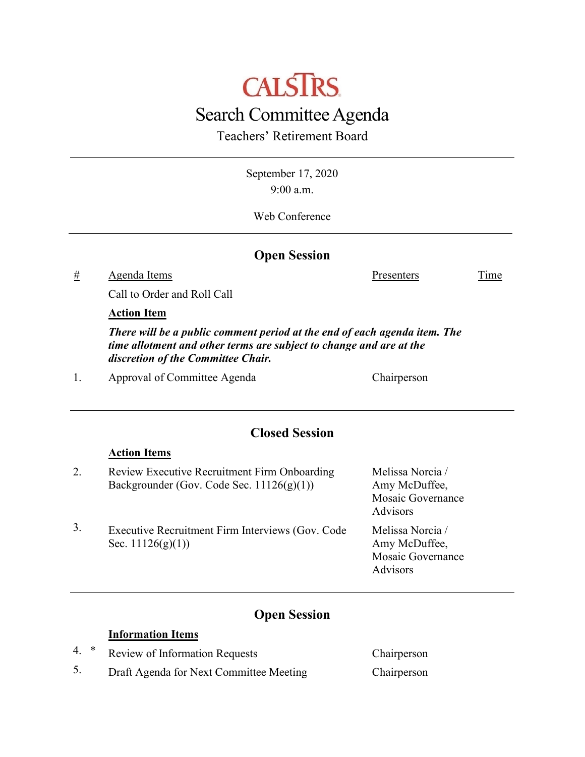# **CALSTRS** Search Committee Agenda

Teachers' Retirement Board

September 17, 2020 9:00 a.m.

Web Conference

### **Open Session**

# Agenda Items Presenters Time

Call to Order and Roll Call

#### **Action Item**

**Action Items**

*There will be a public comment period at the end of each agenda item. The time allotment and other terms are subject to change and are at the discretion of the Committee Chair.*

1. Approval of Committee Agenda Chairperson

## **Closed Session**

|    | TTANADII TAATIT                                                                              |                                                                    |
|----|----------------------------------------------------------------------------------------------|--------------------------------------------------------------------|
| 2. | Review Executive Recruitment Firm Onboarding<br>Backgrounder (Gov. Code Sec. $11126(g)(1)$ ) | Melissa Norcia /<br>Amy McDuffee,<br>Mosaic Governance<br>Advisors |
| 3. | Executive Recruitment Firm Interviews (Gov. Code<br>Sec. $11126(g)(1)$                       | Melissa Norcia /<br>Amy McDuffee,<br>Mosaic Governance<br>Advisors |

## **Open Session**

#### **Information Items**

- 4. \* Review of Information Requests Chairperson
- 5. Draft Agenda for Next Committee Meeting Chairperson
-